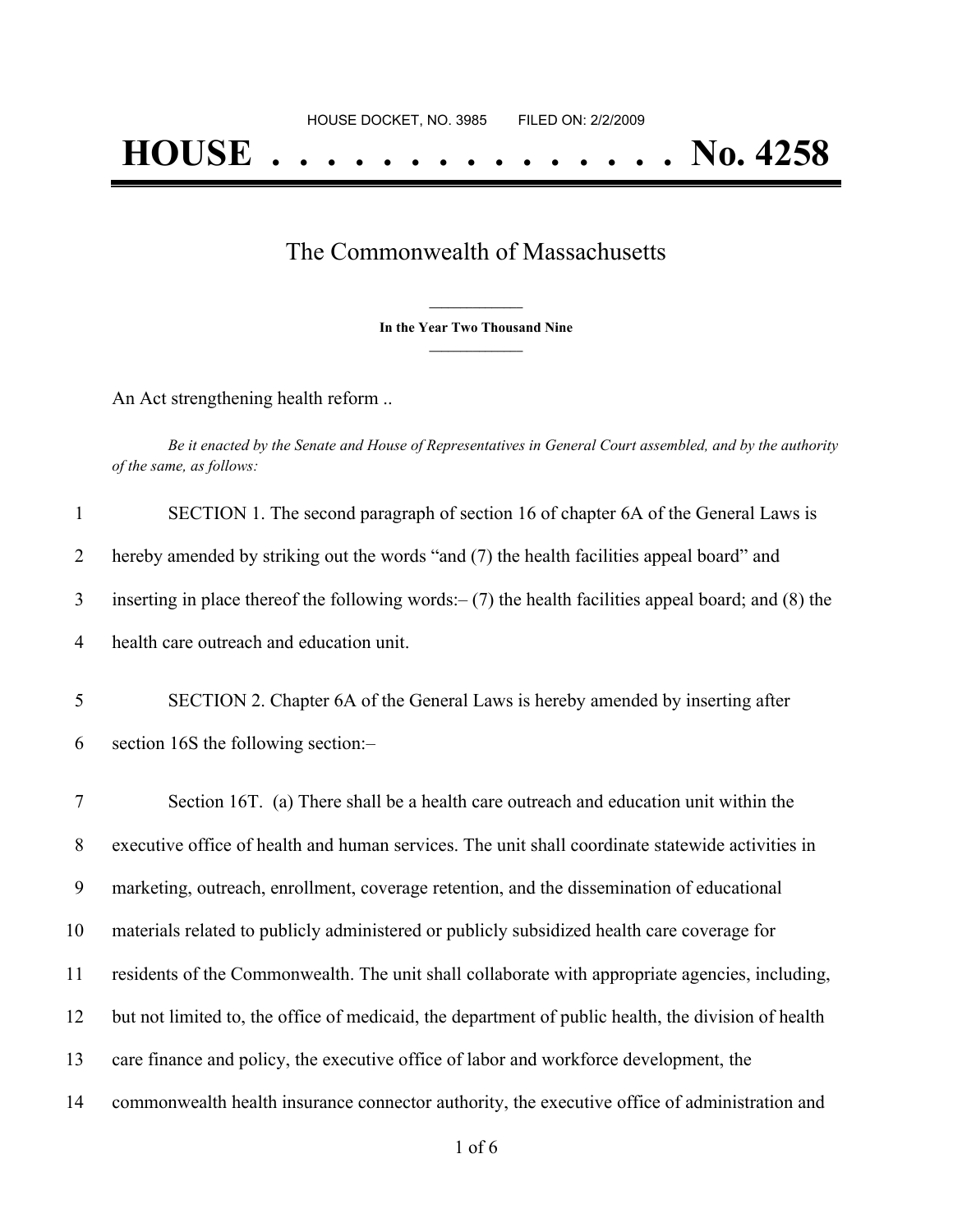## The Commonwealth of Massachusetts

**\_\_\_\_\_\_\_\_\_\_\_\_\_\_\_ In the Year Two Thousand Nine \_\_\_\_\_\_\_\_\_\_\_\_\_\_\_**

An Act strengthening health reform ..

Be it enacted by the Senate and House of Representatives in General Court assembled, and by the authority *of the same, as follows:*

| $\mathbf{1}$   | SECTION 1. The second paragraph of section 16 of chapter 6A of the General Laws is                      |
|----------------|---------------------------------------------------------------------------------------------------------|
| 2              | hereby amended by striking out the words "and (7) the health facilities appeal board" and               |
| 3              | inserting in place thereof the following words: $-$ (7) the health facilities appeal board; and (8) the |
| $\overline{4}$ | health care outreach and education unit.                                                                |
| 5              | SECTION 2. Chapter 6A of the General Laws is hereby amended by inserting after                          |
| 6              | section 16S the following section:-                                                                     |
| $\overline{7}$ | Section 16T. (a) There shall be a health care outreach and education unit within the                    |
| 8              | executive office of health and human services. The unit shall coordinate statewide activities in        |
| 9              | marketing, outreach, enrollment, coverage retention, and the dissemination of educational               |
| 10             | materials related to publicly administered or publicly subsidized health care coverage for              |
| 11             | residents of the Commonwealth. The unit shall collaborate with appropriate agencies, including,         |
| 12             | but not limited to, the office of medicaid, the department of public health, the division of health     |
| 13             | care finance and policy, the executive office of labor and workforce development, the                   |
| 14             | commonwealth health insurance connector authority, the executive office of administration and           |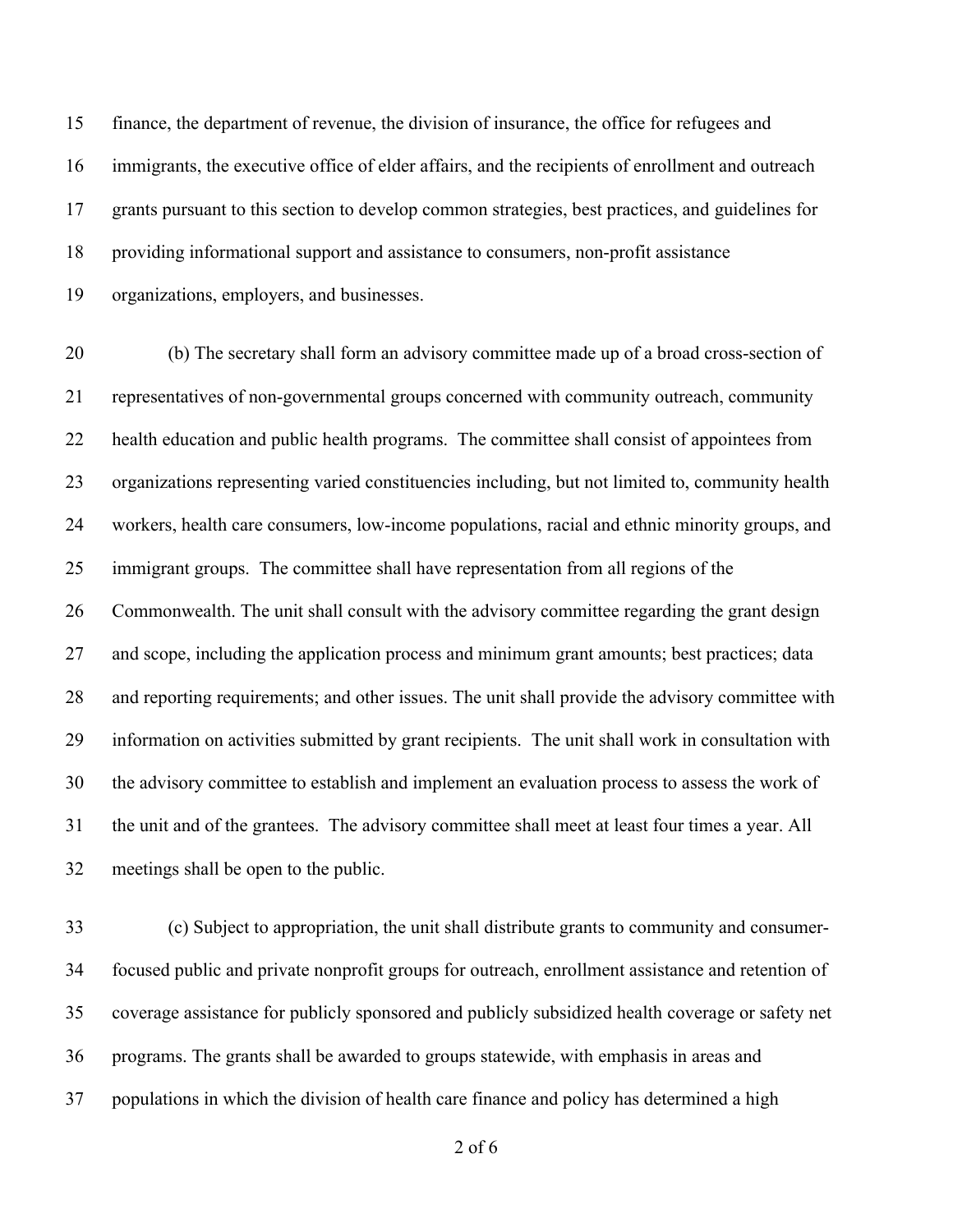finance, the department of revenue, the division of insurance, the office for refugees and immigrants, the executive office of elder affairs, and the recipients of enrollment and outreach grants pursuant to this section to develop common strategies, best practices, and guidelines for providing informational support and assistance to consumers, non-profit assistance organizations, employers, and businesses.

 (b) The secretary shall form an advisory committee made up of a broad cross-section of representatives of non-governmental groups concerned with community outreach, community health education and public health programs. The committee shall consist of appointees from organizations representing varied constituencies including, but not limited to, community health workers, health care consumers, low-income populations, racial and ethnic minority groups, and immigrant groups. The committee shall have representation from all regions of the Commonwealth. The unit shall consult with the advisory committee regarding the grant design and scope, including the application process and minimum grant amounts; best practices; data and reporting requirements; and other issues. The unit shall provide the advisory committee with information on activities submitted by grant recipients. The unit shall work in consultation with the advisory committee to establish and implement an evaluation process to assess the work of the unit and of the grantees. The advisory committee shall meet at least four times a year. All meetings shall be open to the public.

 (c) Subject to appropriation, the unit shall distribute grants to community and consumer- focused public and private nonprofit groups for outreach, enrollment assistance and retention of coverage assistance for publicly sponsored and publicly subsidized health coverage or safety net programs. The grants shall be awarded to groups statewide, with emphasis in areas and populations in which the division of health care finance and policy has determined a high

of 6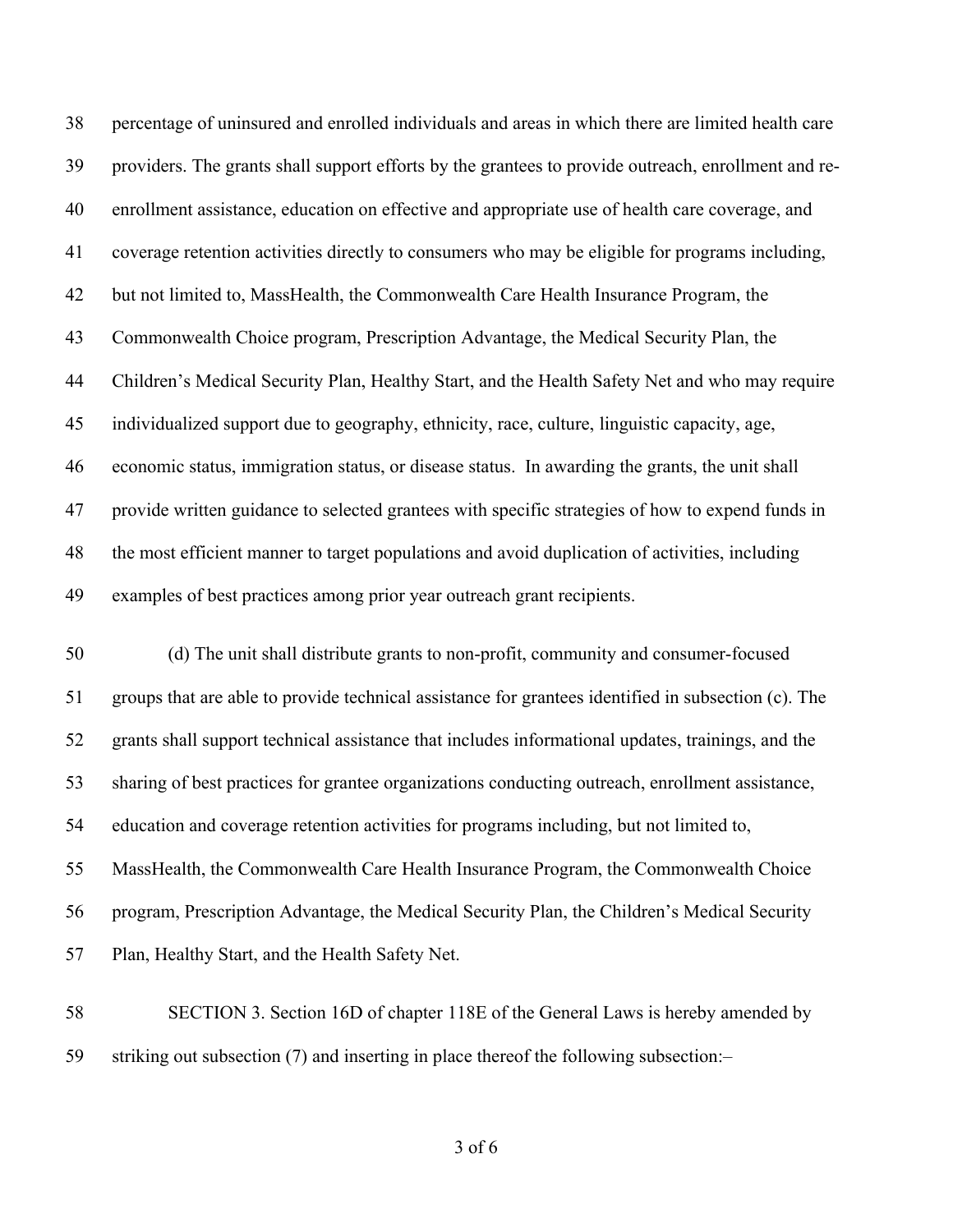percentage of uninsured and enrolled individuals and areas in which there are limited health care providers. The grants shall support efforts by the grantees to provide outreach, enrollment and re- enrollment assistance, education on effective and appropriate use of health care coverage, and coverage retention activities directly to consumers who may be eligible for programs including, but not limited to, MassHealth, the Commonwealth Care Health Insurance Program, the Commonwealth Choice program, Prescription Advantage, the Medical Security Plan, the Children's Medical Security Plan, Healthy Start, and the Health Safety Net and who may require individualized support due to geography, ethnicity, race, culture, linguistic capacity, age, economic status, immigration status, or disease status. In awarding the grants, the unit shall provide written guidance to selected grantees with specific strategies of how to expend funds in the most efficient manner to target populations and avoid duplication of activities, including examples of best practices among prior year outreach grant recipients.

 (d) The unit shall distribute grants to non-profit, community and consumer-focused groups that are able to provide technical assistance for grantees identified in subsection (c). The grants shall support technical assistance that includes informational updates, trainings, and the sharing of best practices for grantee organizations conducting outreach, enrollment assistance, education and coverage retention activities for programs including, but not limited to, MassHealth, the Commonwealth Care Health Insurance Program, the Commonwealth Choice program, Prescription Advantage, the Medical Security Plan, the Children's Medical Security Plan, Healthy Start, and the Health Safety Net.

 SECTION 3. Section 16D of chapter 118E of the General Laws is hereby amended by striking out subsection (7) and inserting in place thereof the following subsection:–

of 6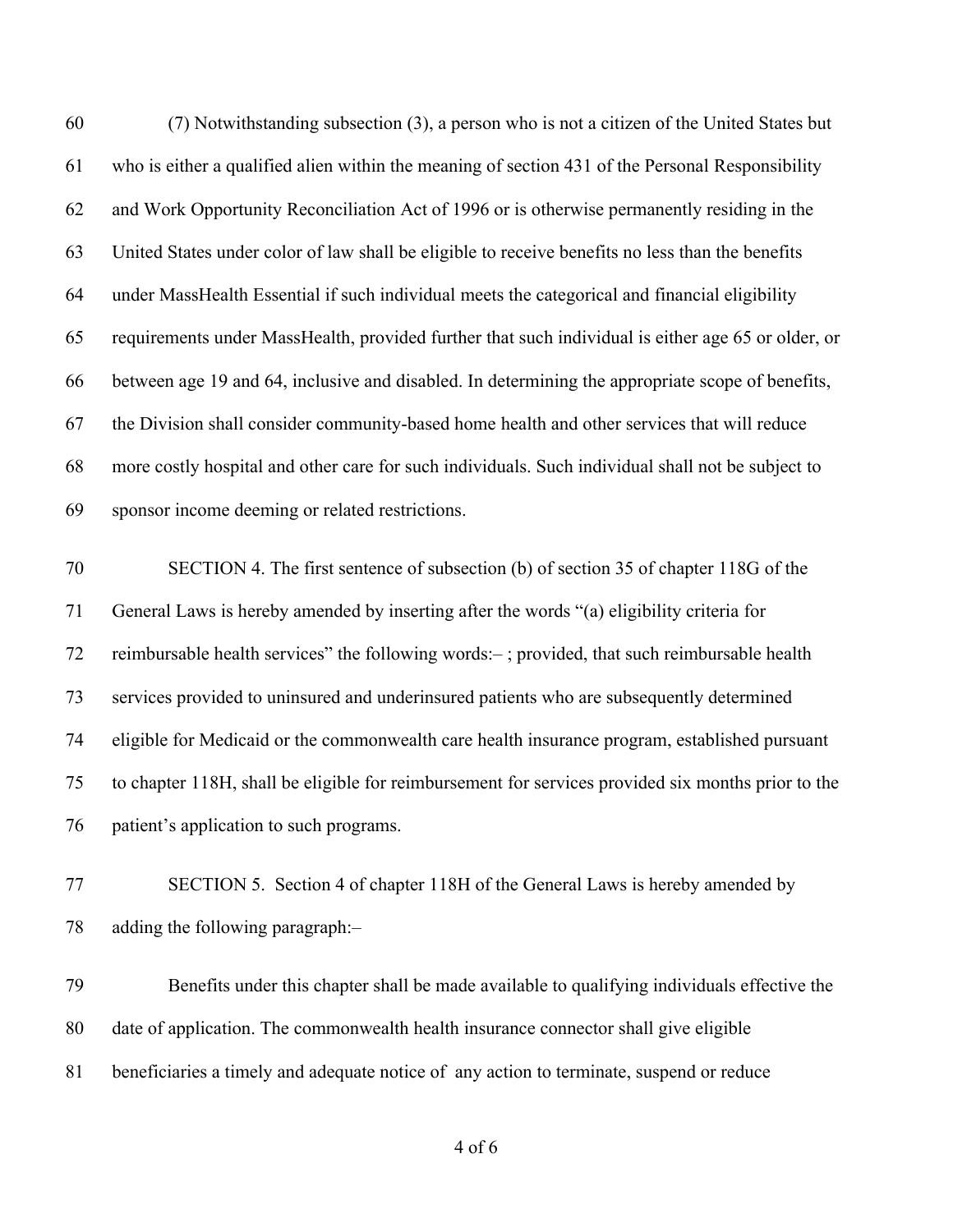| 60 | (7) Notwithstanding subsection (3), a person who is not a citizen of the United States but         |
|----|----------------------------------------------------------------------------------------------------|
| 61 | who is either a qualified alien within the meaning of section 431 of the Personal Responsibility   |
| 62 | and Work Opportunity Reconciliation Act of 1996 or is otherwise permanently residing in the        |
| 63 | United States under color of law shall be eligible to receive benefits no less than the benefits   |
| 64 | under MassHealth Essential if such individual meets the categorical and financial eligibility      |
| 65 | requirements under MassHealth, provided further that such individual is either age 65 or older, or |
| 66 | between age 19 and 64, inclusive and disabled. In determining the appropriate scope of benefits,   |
| 67 | the Division shall consider community-based home health and other services that will reduce        |
| 68 | more costly hospital and other care for such individuals. Such individual shall not be subject to  |
| 69 | sponsor income deeming or related restrictions.                                                    |
| 70 | SECTION 4. The first sentence of subsection (b) of section 35 of chapter 118G of the               |
| 71 | General Laws is hereby amended by inserting after the words "(a) eligibility criteria for          |
| 72 | reimbursable health services" the following words:-; provided, that such reimbursable health       |
| 73 | services provided to uninsured and underinsured patients who are subsequently determined           |
| 74 | eligible for Medicaid or the commonwealth care health insurance program, established pursuant      |
| 75 | to chapter 118H, shall be eligible for reimbursement for services provided six months prior to the |
| 76 | patient's application to such programs.                                                            |
| 77 | SECTION 5. Section 4 of chapter 118H of the General Laws is hereby amended by                      |
| 78 | adding the following paragraph:-                                                                   |
| 79 | Benefits under this chapter shall be made available to qualifying individuals effective the        |

date of application. The commonwealth health insurance connector shall give eligible

beneficiaries a timely and adequate notice of any action to terminate, suspend or reduce

of 6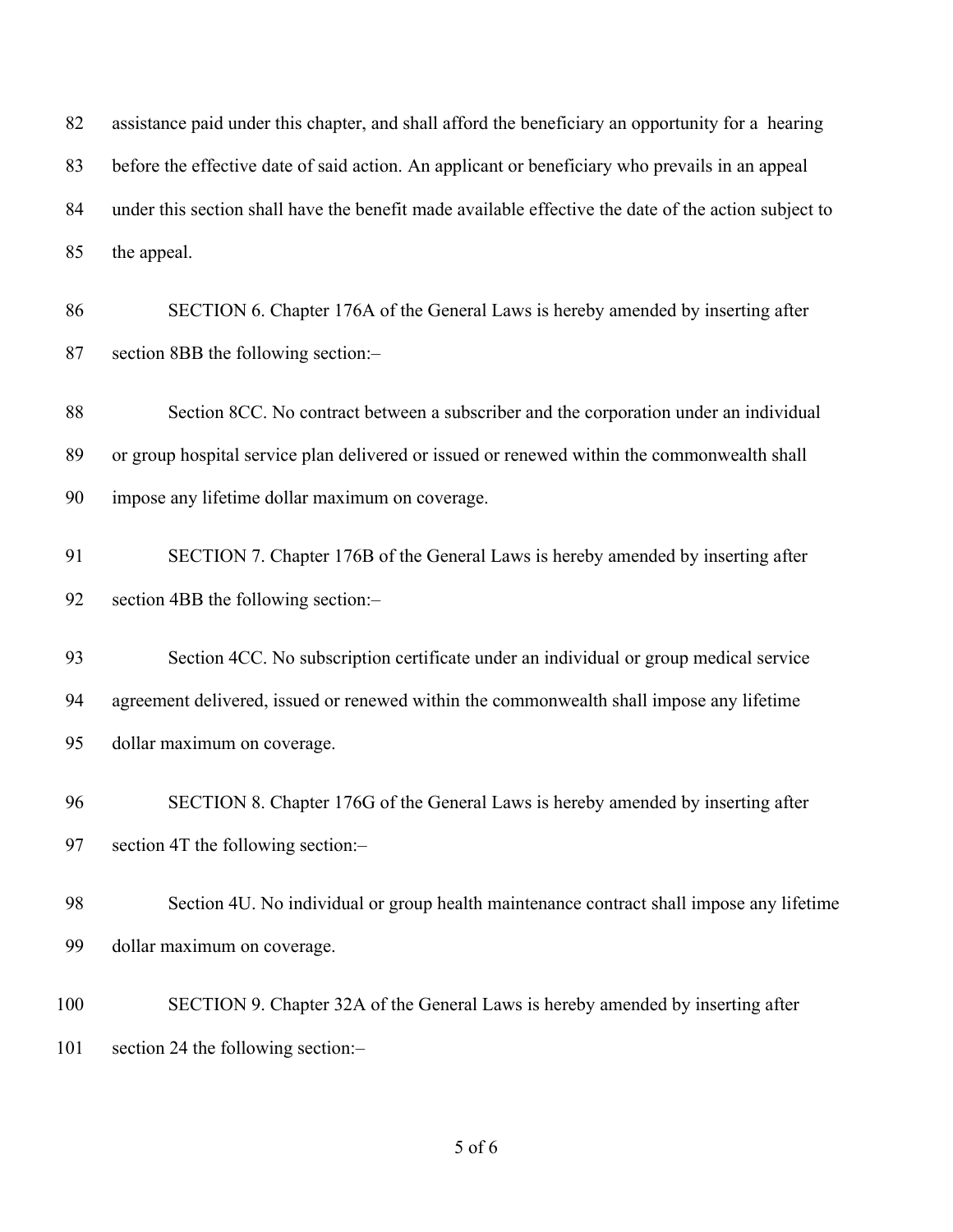| 82       | assistance paid under this chapter, and shall afford the beneficiary an opportunity for a hearing                       |
|----------|-------------------------------------------------------------------------------------------------------------------------|
| 83       | before the effective date of said action. An applicant or beneficiary who prevails in an appeal                         |
| 84       | under this section shall have the benefit made available effective the date of the action subject to                    |
| 85       | the appeal.                                                                                                             |
| 86<br>87 | SECTION 6. Chapter 176A of the General Laws is hereby amended by inserting after<br>section 8BB the following section:- |
| 88       | Section 8CC. No contract between a subscriber and the corporation under an individual                                   |
| 89       | or group hospital service plan delivered or issued or renewed within the commonwealth shall                             |
| 90       | impose any lifetime dollar maximum on coverage.                                                                         |
| 91       | SECTION 7. Chapter 176B of the General Laws is hereby amended by inserting after                                        |
| 92       | section 4BB the following section:-                                                                                     |
| 93       | Section 4CC. No subscription certificate under an individual or group medical service                                   |
| 94       | agreement delivered, issued or renewed within the commonwealth shall impose any lifetime                                |
| 95       | dollar maximum on coverage.                                                                                             |
| 96       | SECTION 8. Chapter 176G of the General Laws is hereby amended by inserting after                                        |
| 97       | section 4T the following section:-                                                                                      |
| 98       | Section 4U. No individual or group health maintenance contract shall impose any lifetime                                |
| 99       | dollar maximum on coverage.                                                                                             |
| 100      | SECTION 9. Chapter 32A of the General Laws is hereby amended by inserting after                                         |
| 101      | section 24 the following section:-                                                                                      |
|          |                                                                                                                         |